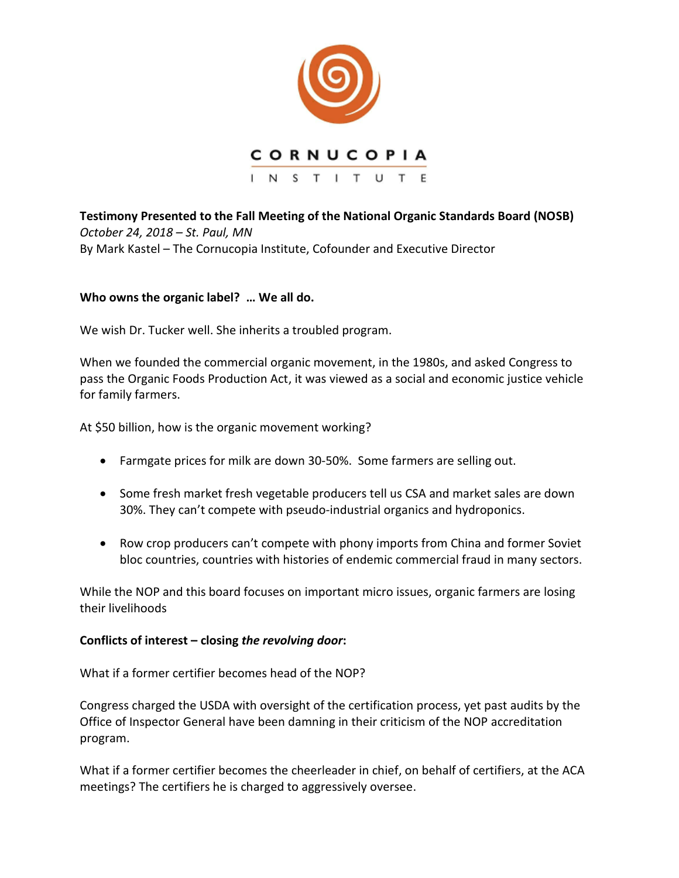

**Testimony Presented to the Fall Meeting of the National Organic Standards Board (NOSB)**  *October 24, 2018 – St. Paul, MN* By Mark Kastel – The Cornucopia Institute, Cofounder and Executive Director

## **Who owns the organic label? … We all do.**

We wish Dr. Tucker well. She inherits a troubled program.

When we founded the commercial organic movement, in the 1980s, and asked Congress to pass the Organic Foods Production Act, it was viewed as a social and economic justice vehicle for family farmers.

At \$50 billion, how is the organic movement working?

- Farmgate prices for milk are down 30-50%. Some farmers are selling out.
- Some fresh market fresh vegetable producers tell us CSA and market sales are down 30%. They can't compete with pseudo-industrial organics and hydroponics.
- Row crop producers can't compete with phony imports from China and former Soviet bloc countries, countries with histories of endemic commercial fraud in many sectors.

While the NOP and this board focuses on important micro issues, organic farmers are losing their livelihoods

## **Conflicts of interest – closing** *the revolving door***:**

What if a former certifier becomes head of the NOP?

Congress charged the USDA with oversight of the certification process, yet past audits by the Office of Inspector General have been damning in their criticism of the NOP accreditation program.

What if a former certifier becomes the cheerleader in chief, on behalf of certifiers, at the ACA meetings? The certifiers he is charged to aggressively oversee.